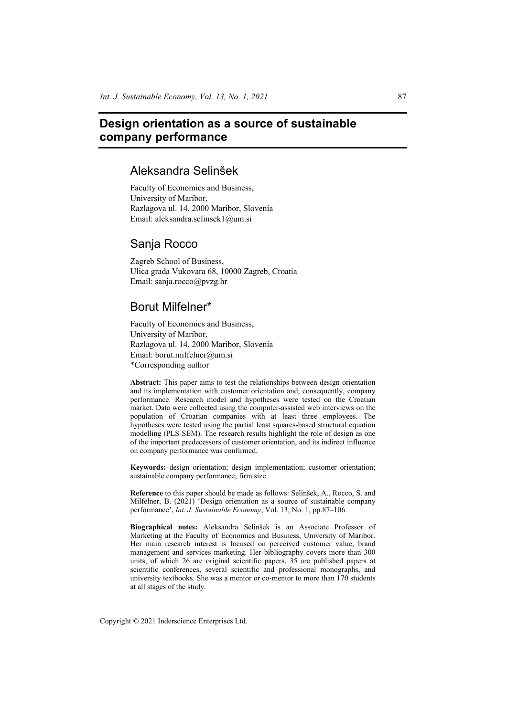# **Design orientation as a source of sustainable company performance**

## Aleksandra Selinšek

Faculty of Economics and Business, University of Maribor, Razlagova ul. 14, 2000 Maribor, Slovenia Email: aleksandra.selinsek1@um.si

## Sanja Rocco

Zagreb School of Business, Ulica grada Vukovara 68, 10000 Zagreb, Croatia Email: sanja.rocco@pvzg.hr

## Borut Milfelner\*

Faculty of Economics and Business, University of Maribor, Razlagova ul. 14, 2000 Maribor, Slovenia Email: borut.milfelner@um.si \*Corresponding author

**Abstract:** This paper aims to test the relationships between design orientation and its implementation with customer orientation and, consequently, company performance. Research model and hypotheses were tested on the Croatian market. Data were collected using the computer-assisted web interviews on the population of Croatian companies with at least three employees. The hypotheses were tested using the partial least squares-based structural equation modelling (PLS-SEM). The research results highlight the role of design as one of the important predecessors of customer orientation, and its indirect influence on company performance was confirmed.

**Keywords:** design orientation; design implementation; customer orientation; sustainable company performance; firm size.

**Reference** to this paper should be made as follows: Selinšek, A., Rocco, S. and Milfelner, B. (2021) 'Design orientation as a source of sustainable company performance', *Int. J. Sustainable Economy*, Vol. 13, No. 1, pp.87–106.

**Biographical notes:** Aleksandra Selinšek is an Associate Professor of Marketing at the Faculty of Economics and Business, University of Maribor. Her main research interest is focused on perceived customer value, brand management and services marketing. Her bibliography covers more than 300 units, of which 26 are original scientific papers, 35 are published papers at scientific conferences, several scientific and professional monographs, and university textbooks. She was a mentor or co-mentor to more than 170 students at all stages of the study.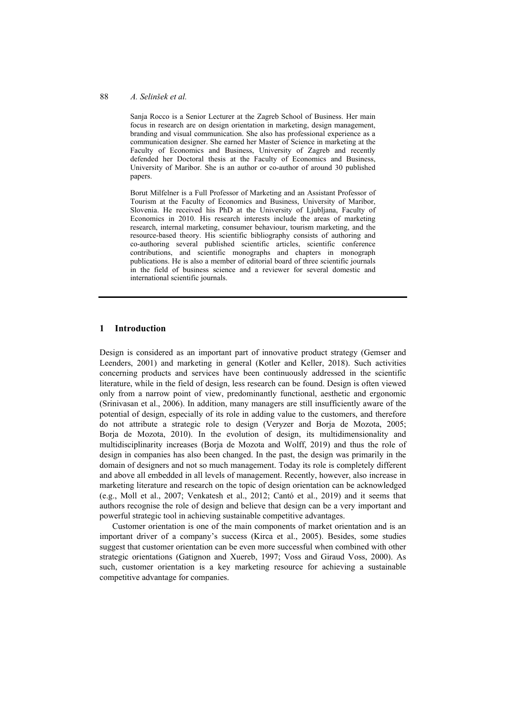#### 88 *A. Selinšek et al.*

Sanja Rocco is a Senior Lecturer at the Zagreb School of Business. Her main focus in research are on design orientation in marketing, design management, branding and visual communication. She also has professional experience as a communication designer. She earned her Master of Science in marketing at the Faculty of Economics and Business, University of Zagreb and recently defended her Doctoral thesis at the Faculty of Economics and Business, University of Maribor. She is an author or co-author of around 30 published papers.

Borut Milfelner is a Full Professor of Marketing and an Assistant Professor of Tourism at the Faculty of Economics and Business, University of Maribor, Slovenia. He received his PhD at the University of Ljubljana, Faculty of Economics in 2010. His research interests include the areas of marketing research, internal marketing, consumer behaviour, tourism marketing, and the resource-based theory. His scientific bibliography consists of authoring and co-authoring several published scientific articles, scientific conference contributions, and scientific monographs and chapters in monograph publications. He is also a member of editorial board of three scientific journals in the field of business science and a reviewer for several domestic and international scientific journals.

## **1 Introduction**

Design is considered as an important part of innovative product strategy (Gemser and Leenders, 2001) and marketing in general (Kotler and Keller, 2018). Such activities concerning products and services have been continuously addressed in the scientific literature, while in the field of design, less research can be found. Design is often viewed only from a narrow point of view, predominantly functional, aesthetic and ergonomic (Srinivasan et al., 2006). In addition, many managers are still insufficiently aware of the potential of design, especially of its role in adding value to the customers, and therefore do not attribute a strategic role to design (Veryzer and Borja de Mozota, 2005; Borja de Mozota, 2010). In the evolution of design, its multidimensionality and multidisciplinarity increases (Borja de Mozota and Wolff, 2019) and thus the role of design in companies has also been changed. In the past, the design was primarily in the domain of designers and not so much management. Today its role is completely different and above all embedded in all levels of management. Recently, however, also increase in marketing literature and research on the topic of design orientation can be acknowledged (e.g., Moll et al., 2007; Venkatesh et al., 2012; Cantó et al., 2019) and it seems that authors recognise the role of design and believe that design can be a very important and powerful strategic tool in achieving sustainable competitive advantages.

Customer orientation is one of the main components of market orientation and is an important driver of a company's success (Kirca et al., 2005). Besides, some studies suggest that customer orientation can be even more successful when combined with other strategic orientations (Gatignon and Xuereb, 1997; Voss and Giraud Voss, 2000). As such, customer orientation is a key marketing resource for achieving a sustainable competitive advantage for companies.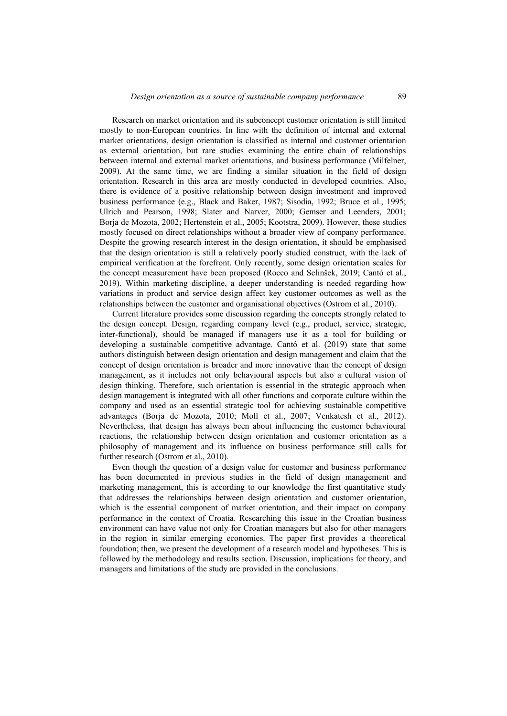Research on market orientation and its subconcept customer orientation is still limited mostly to non-European countries. In line with the definition of internal and external market orientations, design orientation is classified as internal and customer orientation as external orientation, but rare studies examining the entire chain of relationships between internal and external market orientations, and business performance (Milfelner, 2009). At the same time, we are finding a similar situation in the field of design orientation. Research in this area are mostly conducted in developed countries. Also, there is evidence of a positive relationship between design investment and improved business performance (e.g., Black and Baker, 1987; Sisodia, 1992; Bruce et al., 1995; Ulrich and Pearson, 1998; Slater and Narver, 2000; Gemser and Leenders, 2001; Borja de Mozota, 2002; Hertenstein et al., 2005; Kootstra, 2009). However, these studies mostly focused on direct relationships without a broader view of company performance. Despite the growing research interest in the design orientation, it should be emphasised that the design orientation is still a relatively poorly studied construct, with the lack of empirical verification at the forefront. Only recently, some design orientation scales for the concept measurement have been proposed (Rocco and Selinšek, 2019; Cantó et al., 2019). Within marketing discipline, a deeper understanding is needed regarding how variations in product and service design affect key customer outcomes as well as the relationships between the customer and organisational objectives (Ostrom et al., 2010).

Current literature provides some discussion regarding the concepts strongly related to the design concept. Design, regarding company level (e.g., product, service, strategic, inter-functional), should be managed if managers use it as a tool for building or developing a sustainable competitive advantage. Cantó et al. (2019) state that some authors distinguish between design orientation and design management and claim that the concept of design orientation is broader and more innovative than the concept of design management, as it includes not only behavioural aspects but also a cultural vision of design thinking. Therefore, such orientation is essential in the strategic approach when design management is integrated with all other functions and corporate culture within the company and used as an essential strategic tool for achieving sustainable competitive advantages (Borja de Mozota, 2010; Moll et al., 2007; Venkatesh et al., 2012). Nevertheless, that design has always been about influencing the customer behavioural reactions, the relationship between design orientation and customer orientation as a philosophy of management and its influence on business performance still calls for further research (Ostrom et al., 2010).

Even though the question of a design value for customer and business performance has been documented in previous studies in the field of design management and marketing management, this is according to our knowledge the first quantitative study that addresses the relationships between design orientation and customer orientation, which is the essential component of market orientation, and their impact on company performance in the context of Croatia. Researching this issue in the Croatian business environment can have value not only for Croatian managers but also for other managers in the region in similar emerging economies. The paper first provides a theoretical foundation; then, we present the development of a research model and hypotheses. This is followed by the methodology and results section. Discussion, implications for theory, and managers and limitations of the study are provided in the conclusions.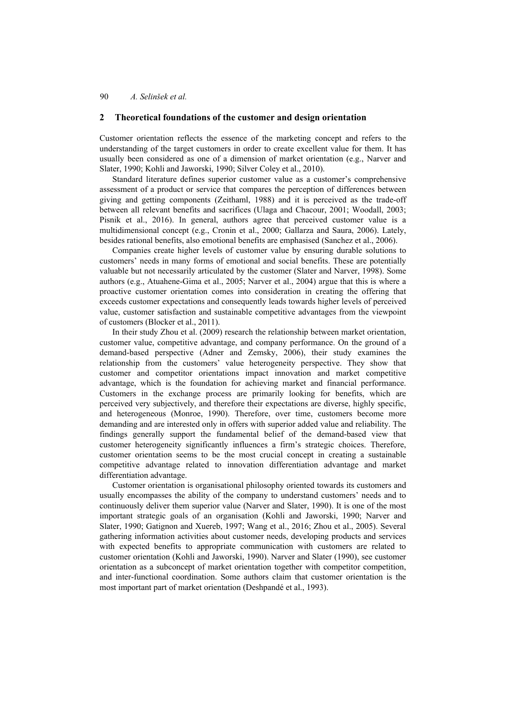## **2 Theoretical foundations of the customer and design orientation**

Customer orientation reflects the essence of the marketing concept and refers to the understanding of the target customers in order to create excellent value for them. It has usually been considered as one of a dimension of market orientation (e.g., Narver and Slater, 1990; Kohli and Jaworski, 1990; Silver Coley et al., 2010).

Standard literature defines superior customer value as a customer's comprehensive assessment of a product or service that compares the perception of differences between giving and getting components (Zeithaml, 1988) and it is perceived as the trade-off between all relevant benefits and sacrifices (Ulaga and Chacour, 2001; Woodall, 2003; Pisnik et al., 2016). In general, authors agree that perceived customer value is a multidimensional concept (e.g., Cronin et al., 2000; Gallarza and Saura, 2006). Lately, besides rational benefits, also emotional benefits are emphasised (Sanchez et al., 2006).

Companies create higher levels of customer value by ensuring durable solutions to customers' needs in many forms of emotional and social benefits. These are potentially valuable but not necessarily articulated by the customer (Slater and Narver, 1998). Some authors (e.g., Atuahene-Gima et al., 2005; Narver et al., 2004) argue that this is where a proactive customer orientation comes into consideration in creating the offering that exceeds customer expectations and consequently leads towards higher levels of perceived value, customer satisfaction and sustainable competitive advantages from the viewpoint of customers (Blocker et al., 2011).

In their study Zhou et al. (2009) research the relationship between market orientation, customer value, competitive advantage, and company performance. On the ground of a demand-based perspective (Adner and Zemsky, 2006), their study examines the relationship from the customers' value heterogeneity perspective. They show that customer and competitor orientations impact innovation and market competitive advantage, which is the foundation for achieving market and financial performance. Customers in the exchange process are primarily looking for benefits, which are perceived very subjectively, and therefore their expectations are diverse, highly specific, and heterogeneous (Monroe, 1990). Therefore, over time, customers become more demanding and are interested only in offers with superior added value and reliability. The findings generally support the fundamental belief of the demand-based view that customer heterogeneity significantly influences a firm's strategic choices. Therefore, customer orientation seems to be the most crucial concept in creating a sustainable competitive advantage related to innovation differentiation advantage and market differentiation advantage.

Customer orientation is organisational philosophy oriented towards its customers and usually encompasses the ability of the company to understand customers' needs and to continuously deliver them superior value (Narver and Slater, 1990). It is one of the most important strategic goals of an organisation (Kohli and Jaworski, 1990; Narver and Slater, 1990; Gatignon and Xuereb, 1997; Wang et al., 2016; Zhou et al., 2005). Several gathering information activities about customer needs, developing products and services with expected benefits to appropriate communication with customers are related to customer orientation (Kohli and Jaworski, 1990). Narver and Slater (1990), see customer orientation as a subconcept of market orientation together with competitor competition, and inter-functional coordination. Some authors claim that customer orientation is the most important part of market orientation (Deshpandé et al., 1993).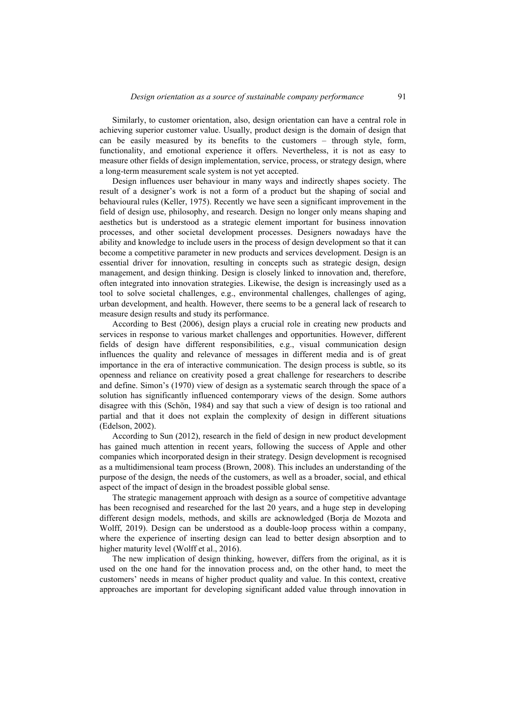Similarly, to customer orientation, also, design orientation can have a central role in achieving superior customer value. Usually, product design is the domain of design that can be easily measured by its benefits to the customers – through style, form, functionality, and emotional experience it offers. Nevertheless, it is not as easy to measure other fields of design implementation, service, process, or strategy design, where a long-term measurement scale system is not yet accepted.

Design influences user behaviour in many ways and indirectly shapes society. The result of a designer's work is not a form of a product but the shaping of social and behavioural rules (Keller, 1975). Recently we have seen a significant improvement in the field of design use, philosophy, and research. Design no longer only means shaping and aesthetics but is understood as a strategic element important for business innovation processes, and other societal development processes. Designers nowadays have the ability and knowledge to include users in the process of design development so that it can become a competitive parameter in new products and services development. Design is an essential driver for innovation, resulting in concepts such as strategic design, design management, and design thinking. Design is closely linked to innovation and, therefore, often integrated into innovation strategies. Likewise, the design is increasingly used as a tool to solve societal challenges, e.g., environmental challenges, challenges of aging, urban development, and health. However, there seems to be a general lack of research to measure design results and study its performance.

According to Best (2006), design plays a crucial role in creating new products and services in response to various market challenges and opportunities. However, different fields of design have different responsibilities, e.g., visual communication design influences the quality and relevance of messages in different media and is of great importance in the era of interactive communication. The design process is subtle, so its openness and reliance on creativity posed a great challenge for researchers to describe and define. Simon's (1970) view of design as a systematic search through the space of a solution has significantly influenced contemporary views of the design. Some authors disagree with this (Schön, 1984) and say that such a view of design is too rational and partial and that it does not explain the complexity of design in different situations (Edelson, 2002).

According to Sun (2012), research in the field of design in new product development has gained much attention in recent years, following the success of Apple and other companies which incorporated design in their strategy. Design development is recognised as a multidimensional team process (Brown, 2008). This includes an understanding of the purpose of the design, the needs of the customers, as well as a broader, social, and ethical aspect of the impact of design in the broadest possible global sense.

The strategic management approach with design as a source of competitive advantage has been recognised and researched for the last 20 years, and a huge step in developing different design models, methods, and skills are acknowledged (Borja de Mozota and Wolff, 2019). Design can be understood as a double-loop process within a company, where the experience of inserting design can lead to better design absorption and to higher maturity level (Wolff et al., 2016).

The new implication of design thinking, however, differs from the original, as it is used on the one hand for the innovation process and, on the other hand, to meet the customers' needs in means of higher product quality and value. In this context, creative approaches are important for developing significant added value through innovation in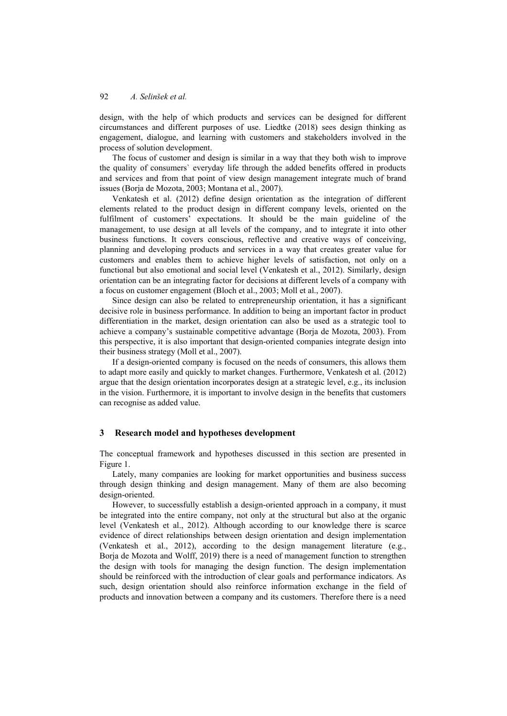design, with the help of which products and services can be designed for different circumstances and different purposes of use. Liedtke (2018) sees design thinking as engagement, dialogue, and learning with customers and stakeholders involved in the process of solution development.

The focus of customer and design is similar in a way that they both wish to improve the quality of consumers` everyday life through the added benefits offered in products and services and from that point of view design management integrate much of brand issues (Borja de Mozota, 2003; Montana et al., 2007).

Venkatesh et al. (2012) define design orientation as the integration of different elements related to the product design in different company levels, oriented on the fulfilment of customers' expectations. It should be the main guideline of the management, to use design at all levels of the company, and to integrate it into other business functions. It covers conscious, reflective and creative ways of conceiving, planning and developing products and services in a way that creates greater value for customers and enables them to achieve higher levels of satisfaction, not only on a functional but also emotional and social level (Venkatesh et al., 2012). Similarly, design orientation can be an integrating factor for decisions at different levels of a company with a focus on customer engagement (Bloch et al., 2003; Moll et al., 2007).

Since design can also be related to entrepreneurship orientation, it has a significant decisive role in business performance. In addition to being an important factor in product differentiation in the market, design orientation can also be used as a strategic tool to achieve a company's sustainable competitive advantage (Borja de Mozota, 2003). From this perspective, it is also important that design-oriented companies integrate design into their business strategy (Moll et al., 2007).

If a design-oriented company is focused on the needs of consumers, this allows them to adapt more easily and quickly to market changes. Furthermore, Venkatesh et al. (2012) argue that the design orientation incorporates design at a strategic level, e.g., its inclusion in the vision. Furthermore, it is important to involve design in the benefits that customers can recognise as added value.

### **3 Research model and hypotheses development**

The conceptual framework and hypotheses discussed in this section are presented in Figure 1.

Lately, many companies are looking for market opportunities and business success through design thinking and design management. Many of them are also becoming design-oriented.

However, to successfully establish a design-oriented approach in a company, it must be integrated into the entire company, not only at the structural but also at the organic level (Venkatesh et al., 2012). Although according to our knowledge there is scarce evidence of direct relationships between design orientation and design implementation (Venkatesh et al., 2012), according to the design management literature (e.g., Borja de Mozota and Wolff, 2019) there is a need of management function to strengthen the design with tools for managing the design function. The design implementation should be reinforced with the introduction of clear goals and performance indicators. As such, design orientation should also reinforce information exchange in the field of products and innovation between a company and its customers. Therefore there is a need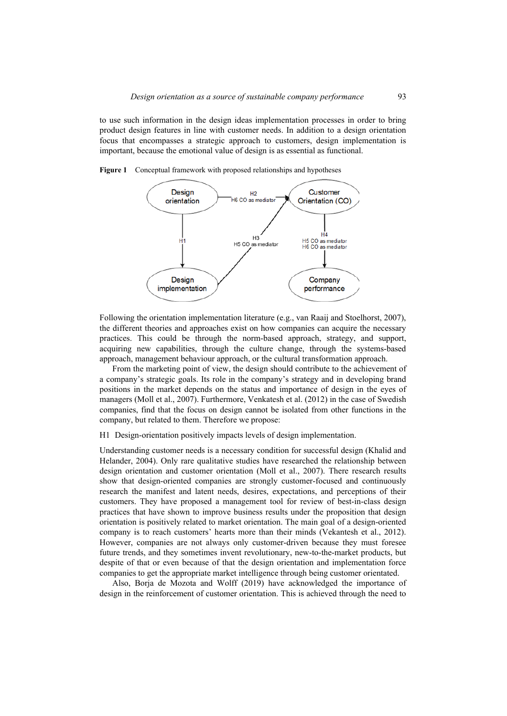to use such information in the design ideas implementation processes in order to bring product design features in line with customer needs. In addition to a design orientation focus that encompasses a strategic approach to customers, design implementation is important, because the emotional value of design is as essential as functional.



**Figure 1** Conceptual framework with proposed relationships and hypotheses

Following the orientation implementation literature (e.g., van Raaij and Stoelhorst, 2007), the different theories and approaches exist on how companies can acquire the necessary practices. This could be through the norm-based approach, strategy, and support, acquiring new capabilities, through the culture change, through the systems-based approach, management behaviour approach, or the cultural transformation approach.

From the marketing point of view, the design should contribute to the achievement of a company's strategic goals. Its role in the company's strategy and in developing brand positions in the market depends on the status and importance of design in the eyes of managers (Moll et al., 2007). Furthermore, Venkatesh et al. (2012) in the case of Swedish companies, find that the focus on design cannot be isolated from other functions in the company, but related to them. Therefore we propose:

H1 Design-orientation positively impacts levels of design implementation.

Understanding customer needs is a necessary condition for successful design (Khalid and Helander, 2004). Only rare qualitative studies have researched the relationship between design orientation and customer orientation (Moll et al., 2007). There research results show that design-oriented companies are strongly customer-focused and continuously research the manifest and latent needs, desires, expectations, and perceptions of their customers. They have proposed a management tool for review of best-in-class design practices that have shown to improve business results under the proposition that design orientation is positively related to market orientation. The main goal of a design-oriented company is to reach customers' hearts more than their minds (Vekantesh et al., 2012). However, companies are not always only customer-driven because they must foresee future trends, and they sometimes invent revolutionary, new-to-the-market products, but despite of that or even because of that the design orientation and implementation force companies to get the appropriate market intelligence through being customer orientated.

Also, Borja de Mozota and Wolff (2019) have acknowledged the importance of design in the reinforcement of customer orientation. This is achieved through the need to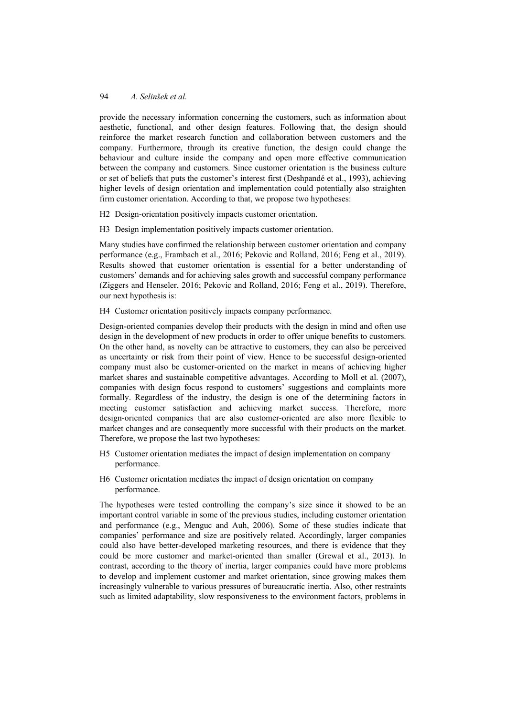provide the necessary information concerning the customers, such as information about aesthetic, functional, and other design features. Following that, the design should reinforce the market research function and collaboration between customers and the company. Furthermore, through its creative function, the design could change the behaviour and culture inside the company and open more effective communication between the company and customers. Since customer orientation is the business culture or set of beliefs that puts the customer's interest first (Deshpandé et al., 1993), achieving higher levels of design orientation and implementation could potentially also straighten firm customer orientation. According to that, we propose two hypotheses:

H2 Design-orientation positively impacts customer orientation.

H3 Design implementation positively impacts customer orientation.

Many studies have confirmed the relationship between customer orientation and company performance (e.g., Frambach et al., 2016; Pekovic and Rolland, 2016; Feng et al., 2019). Results showed that customer orientation is essential for a better understanding of customers' demands and for achieving sales growth and successful company performance (Ziggers and Henseler, 2016; Pekovic and Rolland, 2016; Feng et al., 2019). Therefore, our next hypothesis is:

H4 Customer orientation positively impacts company performance.

Design-oriented companies develop their products with the design in mind and often use design in the development of new products in order to offer unique benefits to customers. On the other hand, as novelty can be attractive to customers, they can also be perceived as uncertainty or risk from their point of view. Hence to be successful design-oriented company must also be customer-oriented on the market in means of achieving higher market shares and sustainable competitive advantages. According to Moll et al. (2007), companies with design focus respond to customers' suggestions and complaints more formally. Regardless of the industry, the design is one of the determining factors in meeting customer satisfaction and achieving market success. Therefore, more design-oriented companies that are also customer-oriented are also more flexible to market changes and are consequently more successful with their products on the market. Therefore, we propose the last two hypotheses:

- H5 Customer orientation mediates the impact of design implementation on company performance.
- H6 Customer orientation mediates the impact of design orientation on company performance.

The hypotheses were tested controlling the company's size since it showed to be an important control variable in some of the previous studies, including customer orientation and performance (e.g., Menguc and Auh, 2006). Some of these studies indicate that companies' performance and size are positively related. Accordingly, larger companies could also have better-developed marketing resources, and there is evidence that they could be more customer and market-oriented than smaller (Grewal et al., 2013). In contrast, according to the theory of inertia, larger companies could have more problems to develop and implement customer and market orientation, since growing makes them increasingly vulnerable to various pressures of bureaucratic inertia. Also, other restraints such as limited adaptability, slow responsiveness to the environment factors, problems in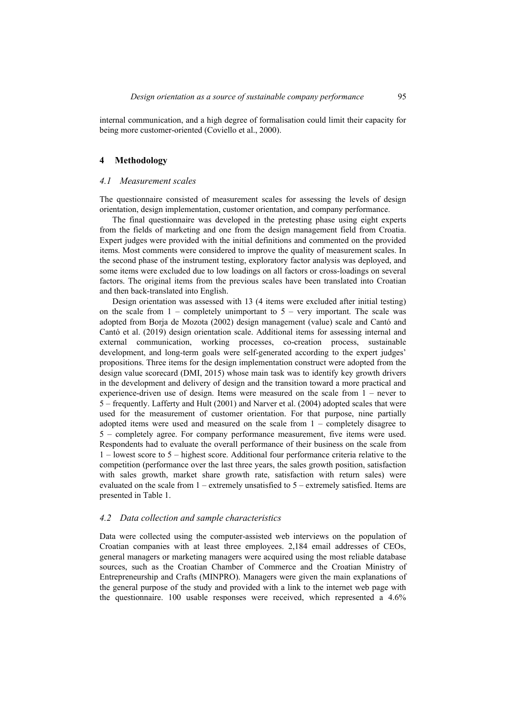internal communication, and a high degree of formalisation could limit their capacity for being more customer-oriented (Coviello et al., 2000).

#### **4 Methodology**

#### *4.1 Measurement scales*

The questionnaire consisted of measurement scales for assessing the levels of design orientation, design implementation, customer orientation, and company performance.

The final questionnaire was developed in the pretesting phase using eight experts from the fields of marketing and one from the design management field from Croatia. Expert judges were provided with the initial definitions and commented on the provided items. Most comments were considered to improve the quality of measurement scales. In the second phase of the instrument testing, exploratory factor analysis was deployed, and some items were excluded due to low loadings on all factors or cross-loadings on several factors. The original items from the previous scales have been translated into Croatian and then back-translated into English.

Design orientation was assessed with 13 (4 items were excluded after initial testing) on the scale from  $1$  – completely unimportant to  $5$  – very important. The scale was adopted from Borja de Mozota (2002) design management (value) scale and Cantó and Cantó et al. (2019) design orientation scale. Additional items for assessing internal and external communication, working processes, co-creation process, sustainable development, and long-term goals were self-generated according to the expert judges' propositions. Three items for the design implementation construct were adopted from the design value scorecard (DMI, 2015) whose main task was to identify key growth drivers in the development and delivery of design and the transition toward a more practical and experience-driven use of design. Items were measured on the scale from 1 – never to 5 – frequently. Lafferty and Hult (2001) and Narver et al. (2004) adopted scales that were used for the measurement of customer orientation. For that purpose, nine partially adopted items were used and measured on the scale from 1 – completely disagree to 5 – completely agree. For company performance measurement, five items were used. Respondents had to evaluate the overall performance of their business on the scale from 1 – lowest score to 5 – highest score. Additional four performance criteria relative to the competition (performance over the last three years, the sales growth position, satisfaction with sales growth, market share growth rate, satisfaction with return sales) were evaluated on the scale from 1 – extremely unsatisfied to 5 – extremely satisfied. Items are presented in Table 1.

#### *4.2 Data collection and sample characteristics*

Data were collected using the computer-assisted web interviews on the population of Croatian companies with at least three employees. 2,184 email addresses of CEOs, general managers or marketing managers were acquired using the most reliable database sources, such as the Croatian Chamber of Commerce and the Croatian Ministry of Entrepreneurship and Crafts (MINPRO). Managers were given the main explanations of the general purpose of the study and provided with a link to the internet web page with the questionnaire. 100 usable responses were received, which represented a 4.6%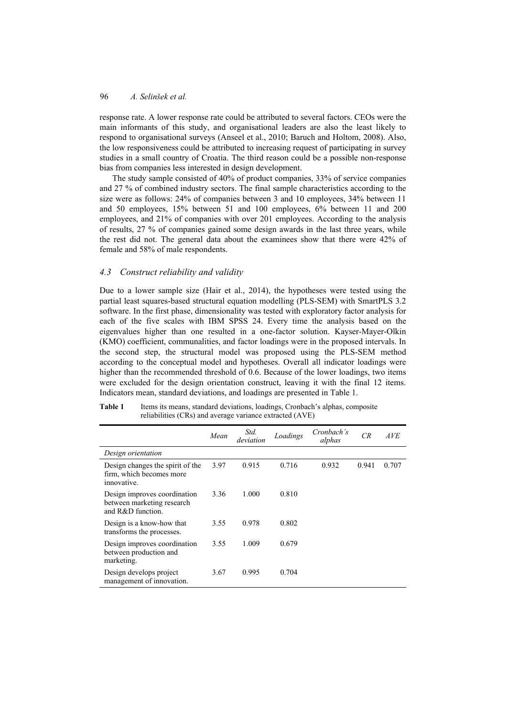response rate. A lower response rate could be attributed to several factors. CEOs were the main informants of this study, and organisational leaders are also the least likely to respond to organisational surveys (Anseel et al., 2010; Baruch and Holtom, 2008). Also, the low responsiveness could be attributed to increasing request of participating in survey studies in a small country of Croatia. The third reason could be a possible non-response bias from companies less interested in design development.

The study sample consisted of 40% of product companies, 33% of service companies and 27 % of combined industry sectors. The final sample characteristics according to the size were as follows: 24% of companies between 3 and 10 employees, 34% between 11 and 50 employees, 15% between 51 and 100 employees, 6% between 11 and 200 employees, and 21% of companies with over 201 employees. According to the analysis of results, 27 % of companies gained some design awards in the last three years, while the rest did not. The general data about the examinees show that there were 42% of female and 58% of male respondents.

## *4.3 Construct reliability and validity*

Due to a lower sample size (Hair et al., 2014), the hypotheses were tested using the partial least squares-based structural equation modelling (PLS-SEM) with SmartPLS 3.2 software. In the first phase, dimensionality was tested with exploratory factor analysis for each of the five scales with IBM SPSS 24. Every time the analysis based on the eigenvalues higher than one resulted in a one-factor solution. Kayser-Mayer-Olkin (KMO) coefficient, communalities, and factor loadings were in the proposed intervals. In the second step, the structural model was proposed using the PLS-SEM method according to the conceptual model and hypotheses. Overall all indicator loadings were higher than the recommended threshold of 0.6. Because of the lower loadings, two items were excluded for the design orientation construct, leaving it with the final 12 items. Indicators mean, standard deviations, and loadings are presented in Table 1.

|                                                                                 | Mean | Std.<br>deviation | Loadings | Cronbach's<br>alphas | CR    | <i>AVE</i> |
|---------------------------------------------------------------------------------|------|-------------------|----------|----------------------|-------|------------|
| Design orientation                                                              |      |                   |          |                      |       |            |
| Design changes the spirit of the<br>firm, which becomes more<br>innovative.     | 3.97 | 0.915             | 0.716    | 0.932                | 0.941 | 0.707      |
| Design improves coordination<br>between marketing research<br>and R&D function. | 3.36 | 1.000             | 0.810    |                      |       |            |
| Design is a know-how that<br>transforms the processes.                          | 3.55 | 0.978             | 0.802    |                      |       |            |
| Design improves coordination<br>between production and<br>marketing.            | 3.55 | 1.009             | 0.679    |                      |       |            |
| Design develops project<br>management of innovation.                            | 3.67 | 0.995             | 0.704    |                      |       |            |

**Table 1** Items its means, standard deviations, loadings, Cronbach's alphas, composite reliabilities (CRs) and average variance extracted (AVE)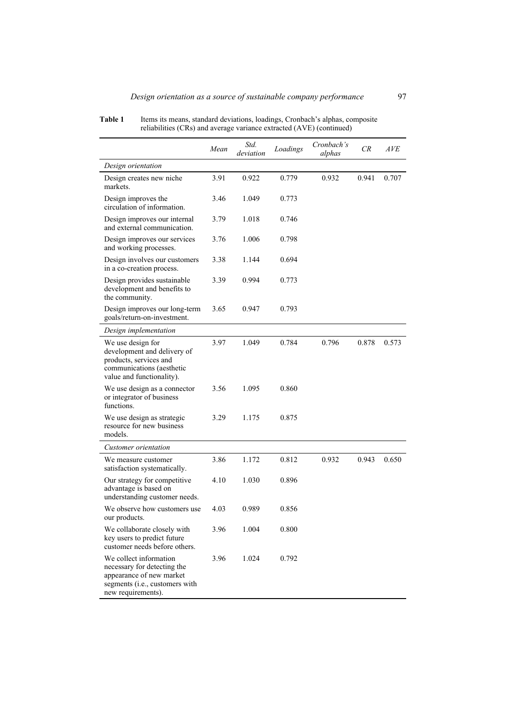|                                                                                                                                           | Mean | Std.<br>deviation | Loadings | Cronbach's<br>alphas | CR    | AVE   |
|-------------------------------------------------------------------------------------------------------------------------------------------|------|-------------------|----------|----------------------|-------|-------|
| Design orientation                                                                                                                        |      |                   |          |                      |       |       |
| Design creates new niche<br>markets.                                                                                                      | 3.91 | 0.922             | 0.779    | 0.932                | 0.941 | 0.707 |
| Design improves the<br>circulation of information.                                                                                        | 3.46 | 1.049             | 0.773    |                      |       |       |
| Design improves our internal<br>and external communication.                                                                               | 3.79 | 1.018             | 0.746    |                      |       |       |
| Design improves our services<br>and working processes.                                                                                    | 3.76 | 1.006             | 0.798    |                      |       |       |
| Design involves our customers<br>in a co-creation process.                                                                                | 3.38 | 1.144             | 0.694    |                      |       |       |
| Design provides sustainable<br>development and benefits to<br>the community.                                                              | 3.39 | 0.994             | 0.773    |                      |       |       |
| Design improves our long-term<br>goals/return-on-investment.                                                                              | 3.65 | 0.947             | 0.793    |                      |       |       |
| Design implementation                                                                                                                     |      |                   |          |                      |       |       |
| We use design for<br>development and delivery of<br>products, services and<br>communications (aesthetic<br>value and functionality).      | 3.97 | 1.049             | 0.784    | 0.796                | 0.878 | 0.573 |
| We use design as a connector<br>or integrator of business<br>functions.                                                                   | 3.56 | 1.095             | 0.860    |                      |       |       |
| We use design as strategic<br>resource for new business<br>models.                                                                        | 3.29 | 1.175             | 0.875    |                      |       |       |
| Customer orientation                                                                                                                      |      |                   |          |                      |       |       |
| We measure customer<br>satisfaction systematically.                                                                                       | 3.86 | 1.172             | 0.812    | 0.932                | 0.943 | 0.650 |
| Our strategy for competitive<br>advantage is based on<br>understanding customer needs.                                                    | 4.10 | 1.030             | 0.896    |                      |       |       |
| We observe how customers use<br>our products.                                                                                             | 4.03 | 0.989             | 0.856    |                      |       |       |
| We collaborate closely with<br>key users to predict future<br>customer needs before others.                                               | 3.96 | 1.004             | 0.800    |                      |       |       |
| We collect information<br>necessary for detecting the<br>appearance of new market<br>segments (i.e., customers with<br>new requirements). | 3.96 | 1.024             | 0.792    |                      |       |       |

Table 1 Items its means, standard deviations, loadings, Cronbach's alphas, composite reliabilities (CRs) and average variance extracted (AVE) (continued)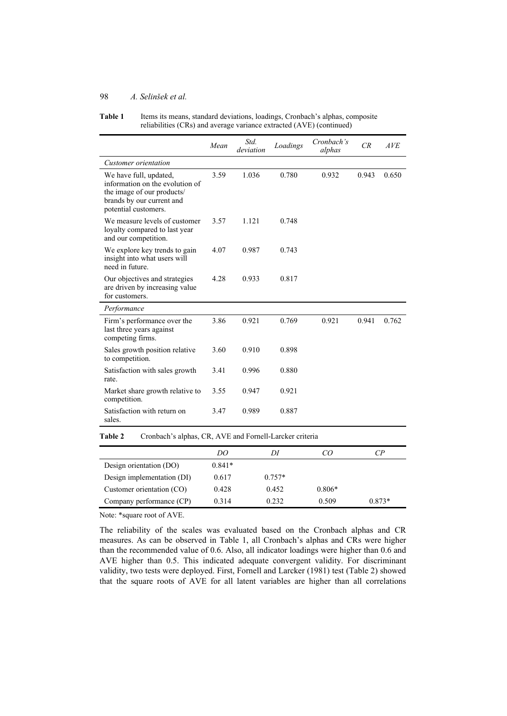| Table 1 | Items its means, standard deviations, loadings, Cronbach's alphas, composite |
|---------|------------------------------------------------------------------------------|
|         | reliabilities (CRs) and average variance extracted (AVE) (continued)         |

|                                                                                                                                              | Mean | Std.<br>deviation | Loadings | Cronbach's<br>alphas | CR    | AVE   |
|----------------------------------------------------------------------------------------------------------------------------------------------|------|-------------------|----------|----------------------|-------|-------|
| Customer orientation                                                                                                                         |      |                   |          |                      |       |       |
| We have full, updated,<br>information on the evolution of<br>the image of our products/<br>brands by our current and<br>potential customers. | 3.59 | 1.036             | 0.780    | 0.932                | 0.943 | 0.650 |
| We measure levels of customer<br>loyalty compared to last year<br>and our competition.                                                       | 3.57 | 1.121             | 0.748    |                      |       |       |
| We explore key trends to gain<br>insight into what users will<br>need in future.                                                             | 4.07 | 0.987             | 0.743    |                      |       |       |
| Our objectives and strategies<br>are driven by increasing value<br>for customers.                                                            | 4.28 | 0.933             | 0.817    |                      |       |       |
| Performance                                                                                                                                  |      |                   |          |                      |       |       |
| Firm's performance over the<br>last three years against<br>competing firms.                                                                  | 3.86 | 0.921             | 0.769    | 0.921                | 0.941 | 0.762 |
| Sales growth position relative<br>to competition.                                                                                            | 3.60 | 0.910             | 0.898    |                      |       |       |
| Satisfaction with sales growth<br>rate.                                                                                                      | 3.41 | 0.996             | 0.880    |                      |       |       |
| Market share growth relative to<br>competition.                                                                                              | 3.55 | 0.947             | 0.921    |                      |       |       |
| Satisfaction with return on<br>sales.                                                                                                        | 3.47 | 0.989             | 0.887    |                      |       |       |

**Table 2** Cronbach's alphas, CR, AVE and Fornell-Larcker criteria

|                            | DO       | 111      |          | $\mathcal{CP}$ |
|----------------------------|----------|----------|----------|----------------|
| Design orientation (DO)    | $0.841*$ |          |          |                |
| Design implementation (DI) | 0.617    | $0.757*$ |          |                |
| Customer orientation (CO)  | 0.428    | 0.452    | $0.806*$ |                |
| Company performance (CP)   | 0.314    | 0.232    | 0.509    | $0.873*$       |

Note: \*square root of AVE.

The reliability of the scales was evaluated based on the Cronbach alphas and CR measures. As can be observed in Table 1, all Cronbach's alphas and CRs were higher than the recommended value of 0.6. Also, all indicator loadings were higher than 0.6 and AVE higher than 0.5. This indicated adequate convergent validity. For discriminant validity, two tests were deployed. First, Fornell and Larcker (1981) test (Table 2) showed that the square roots of AVE for all latent variables are higher than all correlations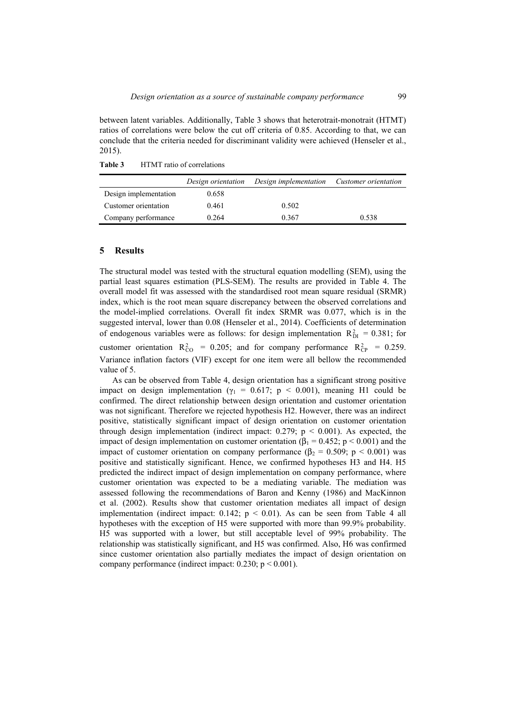between latent variables. Additionally, Table 3 shows that heterotrait-monotrait (HTMT) ratios of correlations were below the cut off criteria of 0.85. According to that, we can conclude that the criteria needed for discriminant validity were achieved (Henseler et al., 2015).

**Table 3** HTMT ratio of correlations

|                       | Design orientation | Design implementation | Customer orientation |
|-----------------------|--------------------|-----------------------|----------------------|
| Design implementation | 0.658              |                       |                      |
| Customer orientation  | 0.461              | 0.502                 |                      |
| Company performance   | 0.264              | 0.367                 | 0.538                |

#### **5 Results**

The structural model was tested with the structural equation modelling (SEM), using the partial least squares estimation (PLS-SEM). The results are provided in Table 4. The overall model fit was assessed with the standardised root mean square residual (SRMR) index, which is the root mean square discrepancy between the observed correlations and the model-implied correlations. Overall fit index SRMR was 0.077, which is in the suggested interval, lower than 0.08 (Henseler et al., 2014). Coefficients of determination of endogenous variables were as follows: for design implementation  $R_{DI}^2 = 0.381$ ; for customer orientation  $R_{CO}^2 = 0.205$ ; and for company performance  $R_{CP}^2 = 0.259$ . Variance inflation factors (VIF) except for one item were all bellow the recommended value of 5.

As can be observed from Table 4, design orientation has a significant strong positive impact on design implementation ( $\gamma_1 = 0.617$ ; p < 0.001), meaning H1 could be confirmed. The direct relationship between design orientation and customer orientation was not significant. Therefore we rejected hypothesis H2. However, there was an indirect positive, statistically significant impact of design orientation on customer orientation through design implementation (indirect impact:  $0.279$ ;  $p \le 0.001$ ). As expected, the impact of design implementation on customer orientation ( $\beta_1 = 0.452$ ; p < 0.001) and the impact of customer orientation on company performance ( $\beta_2 = 0.509$ ; p < 0.001) was positive and statistically significant. Hence, we confirmed hypotheses H3 and H4. H5 predicted the indirect impact of design implementation on company performance, where customer orientation was expected to be a mediating variable. The mediation was assessed following the recommendations of Baron and Kenny (1986) and MacKinnon et al. (2002). Results show that customer orientation mediates all impact of design implementation (indirect impact:  $0.142$ ; p < 0.01). As can be seen from Table 4 all hypotheses with the exception of H5 were supported with more than 99.9% probability. H5 was supported with a lower, but still acceptable level of 99% probability. The relationship was statistically significant, and H5 was confirmed. Also, H6 was confirmed since customer orientation also partially mediates the impact of design orientation on company performance (indirect impact:  $0.230$ ;  $p < 0.001$ ).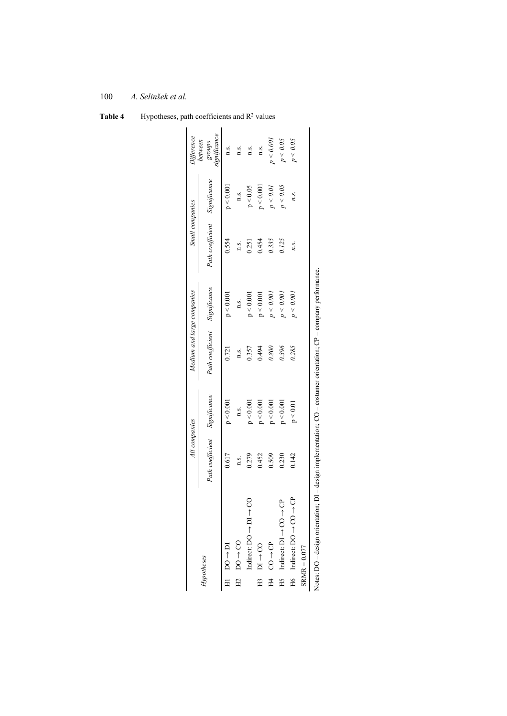|                                                                                                                  | All companies                 |           | Medium and large companies    |           | Small companies               |           | Difference                         |
|------------------------------------------------------------------------------------------------------------------|-------------------------------|-----------|-------------------------------|-----------|-------------------------------|-----------|------------------------------------|
| Hypotheses                                                                                                       | Path coefficient Significance |           | Path coefficient Significance |           | Path coefficient Significance |           | significance<br>between<br>sdno.la |
| $H1$ DO $\rightarrow$ DI                                                                                         | 0.617                         | p < 0.001 | 0.721                         | p < 0.001 | 0.554                         | p < 0.001 | n.s.                               |
| $H2$ DO $\rightarrow$ CO                                                                                         | n.s.                          | n.s.      | n.s.                          | n.s.      | n.s.                          | n.s.      | n.s.                               |
| Indirect: $DO \rightarrow D1$                                                                                    | 0.279                         | p < 0.001 | 0.357                         | p < 0.001 | 0.251                         | p < 0.05  | n.s.                               |
| $H3$ DI $\rightarrow$ CO                                                                                         | 0.452                         | p < 0.001 | 0.494                         | p < 0.001 | 0.454                         | p < 0.001 | n.s.                               |
|                                                                                                                  | 0.509                         | p < 0.001 | 0.800                         | p < 0.001 | 0.335                         | p < 0.01  | p < 0.001                          |
| ಕಿ<br>$\text{H5}$ Indirect: D1 $\rightarrow$ CO $\rightarrow$                                                    | 0.230                         | p < 0.001 | 0.396                         | p < 0.001 | 0.125                         | p < 0.05  | p < 0.05                           |
| පි<br>$H6$ Indirect: DO $\rightarrow$ CO                                                                         | 0.142                         | p < 0.01  | 0.285                         | p < 0.001 | n.s.                          | n.s.      | p < 0.05                           |
| $SRMR = 0.077$                                                                                                   |                               |           |                               |           |                               |           |                                    |
| Notes: DO – design orientation; DI – design implementation; CO – costumer orientation; CP – company performance. |                               |           |                               |           |                               |           |                                    |

Table 4 Hypotheses, path coefficients and R<sup>2</sup> values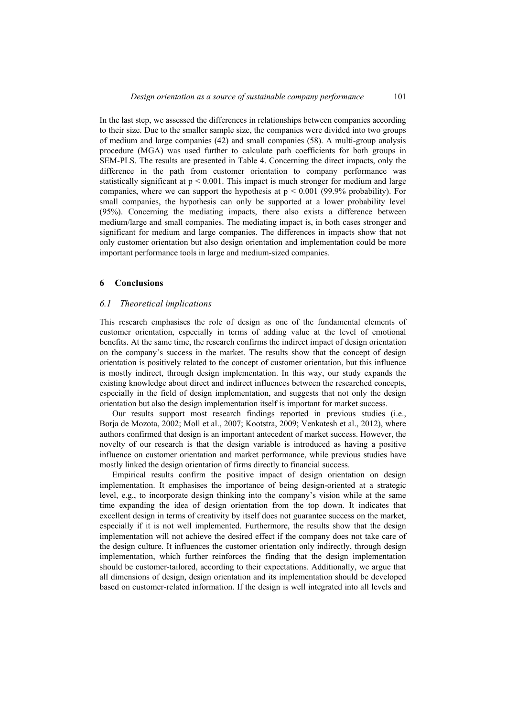In the last step, we assessed the differences in relationships between companies according to their size. Due to the smaller sample size, the companies were divided into two groups of medium and large companies (42) and small companies (58). A multi-group analysis procedure (MGA) was used further to calculate path coefficients for both groups in SEM-PLS. The results are presented in Table 4. Concerning the direct impacts, only the difference in the path from customer orientation to company performance was statistically significant at  $p < 0.001$ . This impact is much stronger for medium and large companies, where we can support the hypothesis at  $p < 0.001$  (99.9% probability). For small companies, the hypothesis can only be supported at a lower probability level (95%). Concerning the mediating impacts, there also exists a difference between medium/large and small companies. The mediating impact is, in both cases stronger and significant for medium and large companies. The differences in impacts show that not only customer orientation but also design orientation and implementation could be more important performance tools in large and medium-sized companies.

#### **6 Conclusions**

## *6.1 Theoretical implications*

This research emphasises the role of design as one of the fundamental elements of customer orientation, especially in terms of adding value at the level of emotional benefits. At the same time, the research confirms the indirect impact of design orientation on the company's success in the market. The results show that the concept of design orientation is positively related to the concept of customer orientation, but this influence is mostly indirect, through design implementation. In this way, our study expands the existing knowledge about direct and indirect influences between the researched concepts, especially in the field of design implementation, and suggests that not only the design orientation but also the design implementation itself is important for market success.

Our results support most research findings reported in previous studies (i.e., Borja de Mozota, 2002; Moll et al., 2007; Kootstra, 2009; Venkatesh et al., 2012), where authors confirmed that design is an important antecedent of market success. However, the novelty of our research is that the design variable is introduced as having a positive influence on customer orientation and market performance, while previous studies have mostly linked the design orientation of firms directly to financial success.

Empirical results confirm the positive impact of design orientation on design implementation. It emphasises the importance of being design-oriented at a strategic level, e.g., to incorporate design thinking into the company's vision while at the same time expanding the idea of design orientation from the top down. It indicates that excellent design in terms of creativity by itself does not guarantee success on the market, especially if it is not well implemented. Furthermore, the results show that the design implementation will not achieve the desired effect if the company does not take care of the design culture. It influences the customer orientation only indirectly, through design implementation, which further reinforces the finding that the design implementation should be customer-tailored, according to their expectations. Additionally, we argue that all dimensions of design, design orientation and its implementation should be developed based on customer-related information. If the design is well integrated into all levels and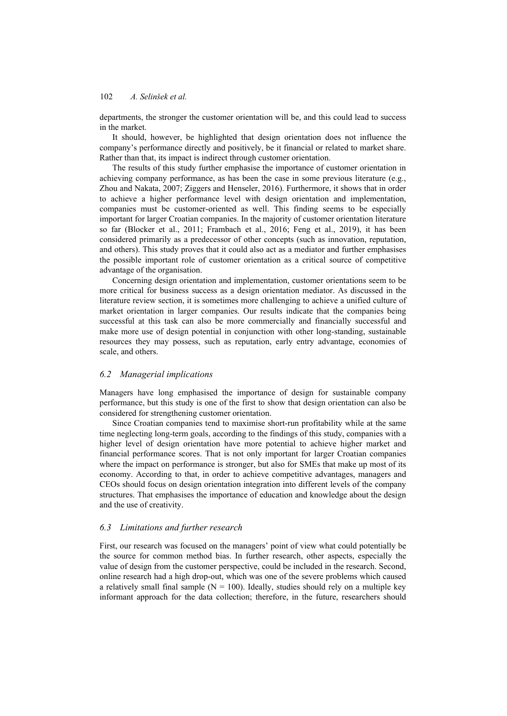departments, the stronger the customer orientation will be, and this could lead to success in the market.

It should, however, be highlighted that design orientation does not influence the company's performance directly and positively, be it financial or related to market share. Rather than that, its impact is indirect through customer orientation.

The results of this study further emphasise the importance of customer orientation in achieving company performance, as has been the case in some previous literature (e.g., Zhou and Nakata, 2007; Ziggers and Henseler, 2016). Furthermore, it shows that in order to achieve a higher performance level with design orientation and implementation, companies must be customer-oriented as well. This finding seems to be especially important for larger Croatian companies. In the majority of customer orientation literature so far (Blocker et al., 2011; Frambach et al., 2016; Feng et al., 2019), it has been considered primarily as a predecessor of other concepts (such as innovation, reputation, and others). This study proves that it could also act as a mediator and further emphasises the possible important role of customer orientation as a critical source of competitive advantage of the organisation.

Concerning design orientation and implementation, customer orientations seem to be more critical for business success as a design orientation mediator. As discussed in the literature review section, it is sometimes more challenging to achieve a unified culture of market orientation in larger companies. Our results indicate that the companies being successful at this task can also be more commercially and financially successful and make more use of design potential in conjunction with other long-standing, sustainable resources they may possess, such as reputation, early entry advantage, economies of scale, and others.

### *6.2 Managerial implications*

Managers have long emphasised the importance of design for sustainable company performance, but this study is one of the first to show that design orientation can also be considered for strengthening customer orientation.

Since Croatian companies tend to maximise short-run profitability while at the same time neglecting long-term goals, according to the findings of this study, companies with a higher level of design orientation have more potential to achieve higher market and financial performance scores. That is not only important for larger Croatian companies where the impact on performance is stronger, but also for SMEs that make up most of its economy. According to that, in order to achieve competitive advantages, managers and CEOs should focus on design orientation integration into different levels of the company structures. That emphasises the importance of education and knowledge about the design and the use of creativity.

### *6.3 Limitations and further research*

First, our research was focused on the managers' point of view what could potentially be the source for common method bias. In further research, other aspects, especially the value of design from the customer perspective, could be included in the research. Second, online research had a high drop-out, which was one of the severe problems which caused a relatively small final sample ( $N = 100$ ). Ideally, studies should rely on a multiple key informant approach for the data collection; therefore, in the future, researchers should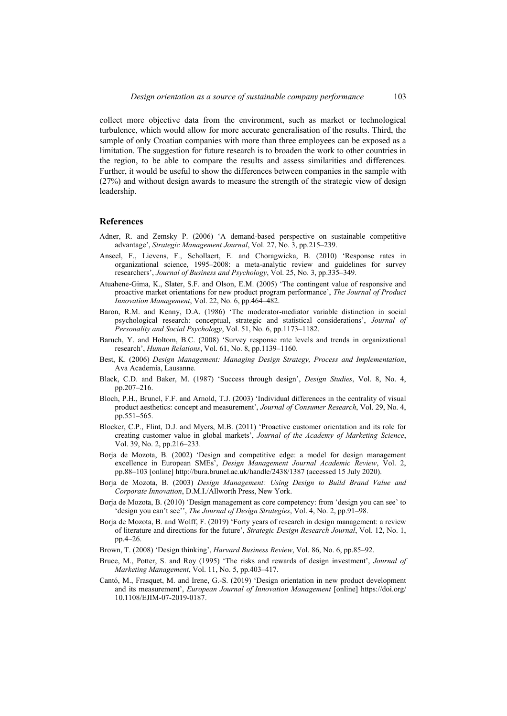collect more objective data from the environment, such as market or technological turbulence, which would allow for more accurate generalisation of the results. Third, the sample of only Croatian companies with more than three employees can be exposed as a limitation. The suggestion for future research is to broaden the work to other countries in the region, to be able to compare the results and assess similarities and differences. Further, it would be useful to show the differences between companies in the sample with (27%) and without design awards to measure the strength of the strategic view of design leadership.

## **References**

- Adner, R. and Zemsky P. (2006) 'A demand-based perspective on sustainable competitive advantage', *Strategic Management Journal*, Vol. 27, No. 3, pp.215–239.
- Anseel, F., Lievens, F., Schollaert, E. and Choragwicka, B. (2010) 'Response rates in organizational science, 1995–2008: a meta-analytic review and guidelines for survey researchers', *Journal of Business and Psychology*, Vol. 25, No. 3, pp.335–349.
- Atuahene-Gima, K., Slater, S.F. and Olson, E.M. (2005) 'The contingent value of responsive and proactive market orientations for new product program performance', *The Journal of Product Innovation Management*, Vol. 22, No. 6, pp.464–482.
- Baron, R.M. and Kenny, D.A. (1986) 'The moderator-mediator variable distinction in social psychological research: conceptual, strategic and statistical considerations', *Journal of Personality and Social Psychology*, Vol. 51, No. 6, pp.1173–1182.
- Baruch, Y. and Holtom, B.C. (2008) 'Survey response rate levels and trends in organizational research', *Human Relations*, Vol. 61, No. 8, pp.1139–1160.
- Best, K. (2006) *Design Management: Managing Design Strategy, Process and Implementation*, Ava Academia, Lausanne.
- Black, C.D. and Baker, M. (1987) 'Success through design', *Design Studies*, Vol. 8, No. 4, pp.207–216.
- Bloch, P.H., Brunel, F.F. and Arnold, T.J. (2003) 'Individual differences in the centrality of visual product aesthetics: concept and measurement', *Journal of Consumer Research*, Vol. 29, No. 4, pp.551–565.
- Blocker, C.P., Flint, D.J. and Myers, M.B. (2011) 'Proactive customer orientation and its role for creating customer value in global markets', *Journal of the Academy of Marketing Science*, Vol. 39, No. 2, pp.216–233.
- Borja de Mozota, B. (2002) 'Design and competitive edge: a model for design management excellence in European SMEs', *Design Management Journal Academic Review*, Vol. 2, pp.88–103 [online] http://bura.brunel.ac.uk/handle/2438/1387 (accessed 15 July 2020).
- Borja de Mozota, B. (2003) *Design Management: Using Design to Build Brand Value and Corporate Innovation*, D.M.I./Allworth Press, New York.
- Borja de Mozota, B. (2010) 'Design management as core competency: from 'design you can see' to 'design you can't see'', *The Journal of Design Strategies*, Vol. 4, No. 2, pp.91–98.
- Borja de Mozota, B. and Wolff, F. (2019) 'Forty years of research in design management: a review of literature and directions for the future', *Strategic Design Research Journal*, Vol. 12, No. 1, pp.4–26.
- Brown, T. (2008) 'Design thinking', *Harvard Business Review*, Vol. 86, No. 6, pp.85–92.
- Bruce, M., Potter, S. and Roy (1995) 'The risks and rewards of design investment', *Journal of Marketing Management*, Vol. 11, No. 5, pp.403–417.
- Cantó, M., Frasquet, M. and Irene, G.-S. (2019) 'Design orientation in new product development and its measurement', *European Journal of Innovation Management* [online] https://doi.org/ 10.1108/EJIM-07-2019-0187.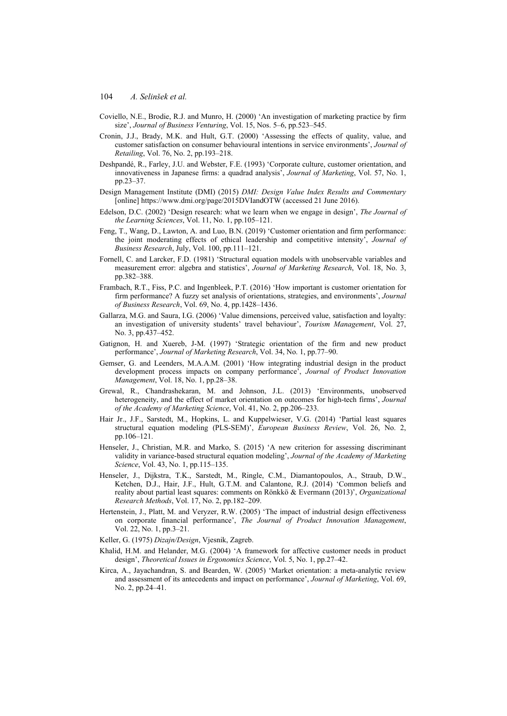- Coviello, N.E., Brodie, R.J. and Munro, H. (2000) 'An investigation of marketing practice by firm size', *Journal of Business Venturing*, Vol. 15, Nos. 5–6, pp.523–545.
- Cronin, J.J., Brady, M.K. and Hult, G.T. (2000) 'Assessing the effects of quality, value, and customer satisfaction on consumer behavioural intentions in service environments', *Journal of Retailing*, Vol. 76, No. 2, pp.193–218.
- Deshpandé, R., Farley, J.U. and Webster, F.E. (1993) 'Corporate culture, customer orientation, and innovativeness in Japanese firms: a quadrad analysis', *Journal of Marketing*, Vol. 57, No. 1, pp.23–37.
- Design Management Institute (DMI) (2015) *DMI: Design Value Index Results and Commentary* [online] https://www.dmi.org/page/2015DVIandOTW (accessed 21 June 2016).
- Edelson, D.C. (2002) 'Design research: what we learn when we engage in design', *The Journal of the Learning Sciences*, Vol. 11, No. 1, pp.105–121.
- Feng, T., Wang, D., Lawton, A. and Luo, B.N. (2019) 'Customer orientation and firm performance: the joint moderating effects of ethical leadership and competitive intensity', *Journal of Business Research*, July, Vol. 100, pp.111–121.
- Fornell, C. and Larcker, F.D. (1981) 'Structural equation models with unobservable variables and measurement error: algebra and statistics', *Journal of Marketing Research*, Vol. 18, No. 3, pp.382–388.
- Frambach, R.T., Fiss, P.C. and Ingenbleek, P.T. (2016) 'How important is customer orientation for firm performance? A fuzzy set analysis of orientations, strategies, and environments', *Journal of Business Research*, Vol. 69, No. 4, pp.1428–1436.
- Gallarza, M.G. and Saura, I.G. (2006) 'Value dimensions, perceived value, satisfaction and loyalty: an investigation of university students' travel behaviour', *Tourism Management*, Vol. 27, No. 3, pp.437–452.
- Gatignon, H. and Xuereb, J-M. (1997) 'Strategic orientation of the firm and new product performance', *Journal of Marketing Research*, Vol. 34, No. 1, pp.77–90.
- Gemser, G. and Leenders, M.A.A.M. (2001) 'How integrating industrial design in the product development process impacts on company performance', *Journal of Product Innovation Management*, Vol. 18, No. 1, pp.28–38.
- Grewal, R., Chandrashekaran, M. and Johnson, J.L. (2013) 'Environments, unobserved heterogeneity, and the effect of market orientation on outcomes for high-tech firms', *Journal of the Academy of Marketing Science*, Vol. 41, No. 2, pp.206–233.
- Hair Jr., J.F., Sarstedt, M., Hopkins, L. and Kuppelwieser, V.G. (2014) 'Partial least squares structural equation modeling (PLS-SEM)', *European Business Review*, Vol. 26, No. 2, pp.106–121.
- Henseler, J., Christian, M.R. and Marko, S. (2015) 'A new criterion for assessing discriminant validity in variance-based structural equation modeling', *Journal of the Academy of Marketing Science*, Vol. 43, No. 1, pp.115–135.
- Henseler, J., Dijkstra, T.K., Sarstedt, M., Ringle, C.M., Diamantopoulos, A., Straub, D.W., Ketchen, D.J., Hair, J.F., Hult, G.T.M. and Calantone, R.J. (2014) 'Common beliefs and reality about partial least squares: comments on Rönkkö & Evermann (2013)', *Organizational Research Methods*, Vol. 17, No. 2, pp.182–209.
- Hertenstein, J., Platt, M. and Veryzer, R.W. (2005) 'The impact of industrial design effectiveness on corporate financial performance', *The Journal of Product Innovation Management*, Vol. 22, No. 1, pp.3–21.
- Keller, G. (1975) *Dizajn/Design*, Vjesnik, Zagreb.
- Khalid, H.M. and Helander, M.G. (2004) 'A framework for affective customer needs in product design', *Theoretical Issues in Ergonomics Science*, Vol. 5, No. 1, pp.27–42.
- Kirca, A., Jayachandran, S. and Bearden, W. (2005) 'Market orientation: a meta-analytic review and assessment of its antecedents and impact on performance', *Journal of Marketing*, Vol. 69, No. 2, pp.24–41.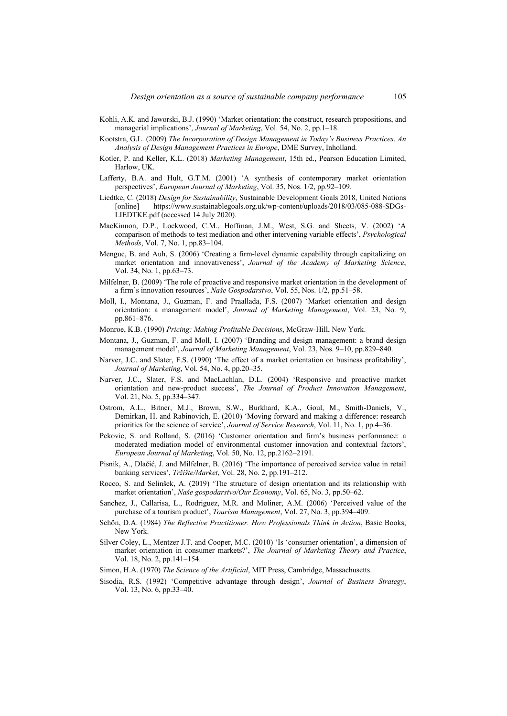- Kohli, A.K. and Jaworski, B.J. (1990) 'Market orientation: the construct, research propositions, and managerial implications', *Journal of Marketing*, Vol. 54, No. 2, pp.1–18.
- Kootstra, G.L. (2009) *The Incorporation of Design Management in Today's Business Practices*. *An Analysis of Design Management Practices in Europe*, DME Survey, Inholland.
- Kotler, P. and Keller, K.L. (2018) *Marketing Management*, 15th ed., Pearson Education Limited, Harlow, UK.
- Lafferty, B.A. and Hult, G.T.M. (2001) 'A synthesis of contemporary market orientation perspectives', *European Journal of Marketing*, Vol. 35, Nos. 1/2, pp.92–109.
- Liedtke, C. (2018) *Design for Sustainability*, Sustainable Development Goals 2018, United Nations [online] https://www.sustainablegoals.org.uk/wp-content/uploads/2018/03/085-088-SDGs-LIEDTKE.pdf (accessed 14 July 2020).
- MacKinnon, D.P., Lockwood, C.M., Hoffman, J.M., West, S.G. and Sheets, V. (2002) 'A comparison of methods to test mediation and other intervening variable effects', *Psychological Methods*, Vol. 7, No. 1, pp.83–104.
- Menguc, B. and Auh, S. (2006) 'Creating a firm-level dynamic capability through capitalizing on market orientation and innovativeness', *Journal of the Academy of Marketing Science*, Vol. 34, No. 1, pp.63–73.
- Milfelner, B. (2009) 'The role of proactive and responsive market orientation in the development of a firm's innovation resources', *Naše Gospodarstvo*, Vol. 55, Nos. 1/2, pp.51–58.
- Moll, I., Montana, J., Guzman, F. and Praallada, F.S. (2007) 'Market orientation and design orientation: a management model', *Journal of Marketing Management*, Vol. 23, No. 9, pp.861–876.
- Monroe, K.B. (1990) *Pricing: Making Profitable Decisions*, McGraw-Hill, New York.
- Montana, J., Guzman, F. and Moll, I. (2007) 'Branding and design management: a brand design management model', *Journal of Marketing Management*, Vol. 23, Nos. 9–10, pp.829–840.
- Narver, J.C. and Slater, F.S. (1990) 'The effect of a market orientation on business profitability', *Journal of Marketing*, Vol. 54, No. 4, pp.20–35.
- Narver, J.C., Slater, F.S. and MacLachlan, D.L. (2004) 'Responsive and proactive market orientation and new-product success', *The Journal of Product Innovation Management*, Vol. 21, No. 5, pp.334–347.
- Ostrom, A.L., Bitner, M.J., Brown, S.W., Burkhard, K.A., Goul, M., Smith-Daniels, V., Demirkan, H. and Rabinovich, E. (2010) 'Moving forward and making a difference: research priorities for the science of service', *Journal of Service Research*, Vol. 11, No. 1, pp.4–36.
- Pekovic, S. and Rolland, S. (2016) 'Customer orientation and firm's business performance: a moderated mediation model of environmental customer innovation and contextual factors', *European Journal of Marketing*, Vol. 50, No. 12, pp.2162–2191.
- Pisnik, A., Dlačić, J. and Milfelner, B. (2016) 'The importance of perceived service value in retail banking services', *Tržište/Market*, Vol. 28, No. 2, pp.191–212.
- Rocco, S. and Selinšek, A. (2019) 'The structure of design orientation and its relationship with market orientation', *Naše gospodarstvo/Our Economy*, Vol. 65, No. 3, pp.50–62.
- Sanchez, J., Callarisa, L., Rodriguez, M.R. and Moliner, A.M. (2006) 'Perceived value of the purchase of a tourism product', *Tourism Management*, Vol. 27, No. 3, pp.394–409.
- Schön, D.A. (1984) *The Reflective Practitioner. How Professionals Think in Action*, Basic Books, New York.
- Silver Coley, L., Mentzer J.T. and Cooper, M.C. (2010) 'Is 'consumer orientation', a dimension of market orientation in consumer markets?', *The Journal of Marketing Theory and Practice*, Vol. 18, No. 2, pp.141–154.
- Simon, H.A. (1970) *The Science of the Artificial*, MIT Press, Cambridge, Massachusetts.
- Sisodia, R.S. (1992) 'Competitive advantage through design', *Journal of Business Strategy*, Vol. 13, No. 6, pp.33–40.